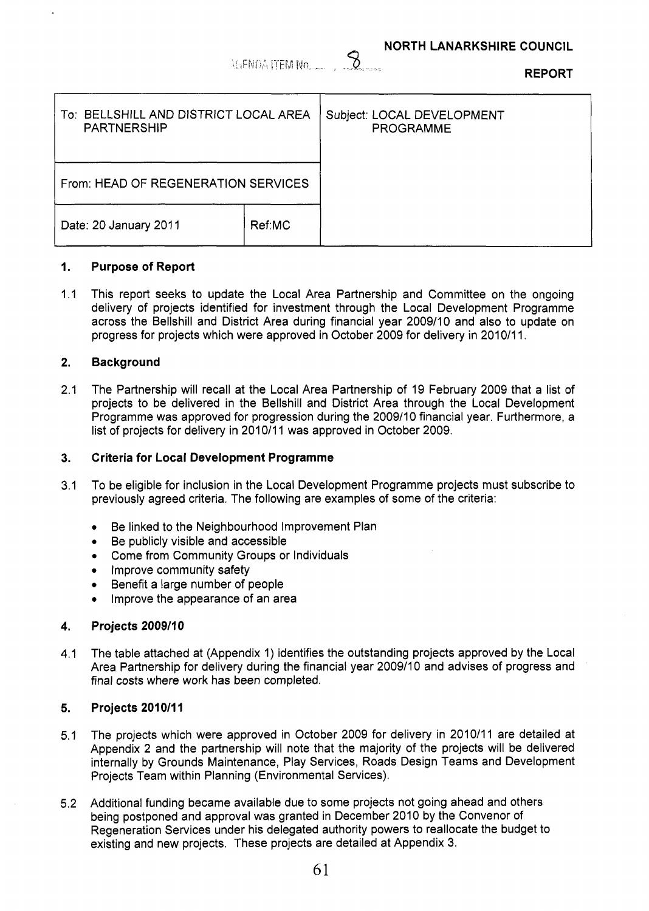*6* **NORTH LANARKSHIRE COUNCIL** 

| AGENDA ITEM No |  | the Barneau |
|----------------|--|-------------|

**REPORT** 

| To: BELLSHILL AND DISTRICT LOCAL AREA<br><b>PARTNERSHIP</b> |        | Subject: LOCAL DEVELOPMENT<br><b>PROGRAMME</b> |
|-------------------------------------------------------------|--------|------------------------------------------------|
| From: HEAD OF REGENERATION SERVICES                         |        |                                                |
| Date: 20 January 2011                                       | Ref:MC |                                                |

### **1. Purpose of Report**

1.1 This report seeks to update the Local Area Partnership and Committee on the ongoing delivery of projects identified for investment through the Local Development Programme across the Bellshill and District Area during financial year 2009/10 and also to update on progress for projects which were approved in October 2009 for delivery in 2010/11.

### **2. Background**

2.1 The Partnership will recall at the Local Area Partnership of 19 February 2009 that a list of projects to be delivered in the Bellshill and District Area through the Local Development Programme was approved for progression during the 2009/10 financial year. Furthermore, a list of projects for delivery in 2010/11 was approved in October 2009.

#### **3. Criteria for Local Development Programme**

- 3.1 To be eligible for inclusion in the Local Development Programme projects must subscribe to previously agreed criteria. The following are examples of some of the criteria:
	- *0*  Be linked to the Neighbourhood Improvement Plan
	- *0*  Be publicly visible and accessible
	- *0*  Come from Community Groups or Individuals
	- **Improve community safety**
	- *0*  Benefit a large number of people
	- *0*  Improve the appearance of an area

### **4. Projects 2009/10**

**4.1**  The table attached at (Appendix 1) identifies the outstanding projects approved by the Local Area Partnership for delivery during the financial year 2009/10 and advises of progress and final costs where work has been completed.

#### **5. Projects 201 011 1**

- 5.1 The projects which were approved in October 2009 for delivery in 2010/11 are detailed at Appendix 2 and the partnership will note that the majority of the projects will be delivered internally by Grounds Maintenance, Play Services, Roads Design Teams and Development Projects Team within Planning (Environmental Services).
- 5.2 Additional funding became available due to some projects not going ahead and others being postponed and approval was granted in December 2010 by the Convenor of Regeneration Services under his delegated authority powers to reallocate the budget to existing and new projects. These projects are detailed at Appendix 3.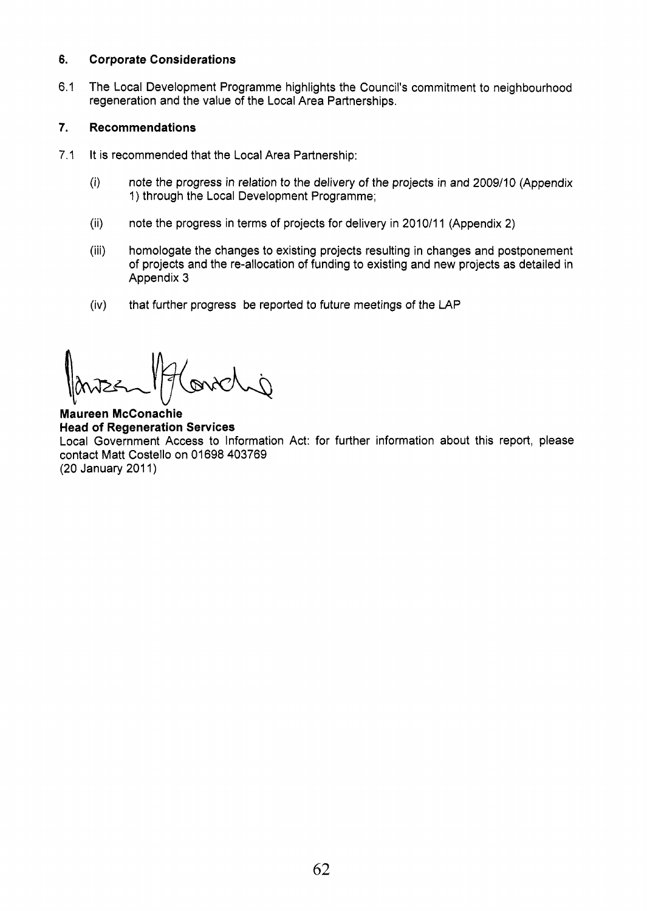### *6.*  **Corporate Considerations**

6.1 The Local Development Programme highlights the Council's commitment to neighbourhood regeneration and the value of the Local Area Partnerships.

### **7. Recommendations**

- 7.1 It is recommended that the Local Area Partnership:
	- (i) note the progress in relation to the delivery of the projects in and 2009/10 (Appendix 1) through the Local Development Programme;
	- note the progress in terms of projects for delivery in 2010/11 (Appendix 2) (ii)
	- homologate the changes to existing projects resulting in changes and postponement of projects and the re-allocation of funding to existing and new projects as detailed in Appendix 3 (iii)
	- that further progress be reported to future meetings of the LAP (iv)

**Maureen McConachie Head of Regeneration Services**  Local Government Access to Information Act: for further information about this report, please contact Matt Costello on 01698 403769 (20 January 2011)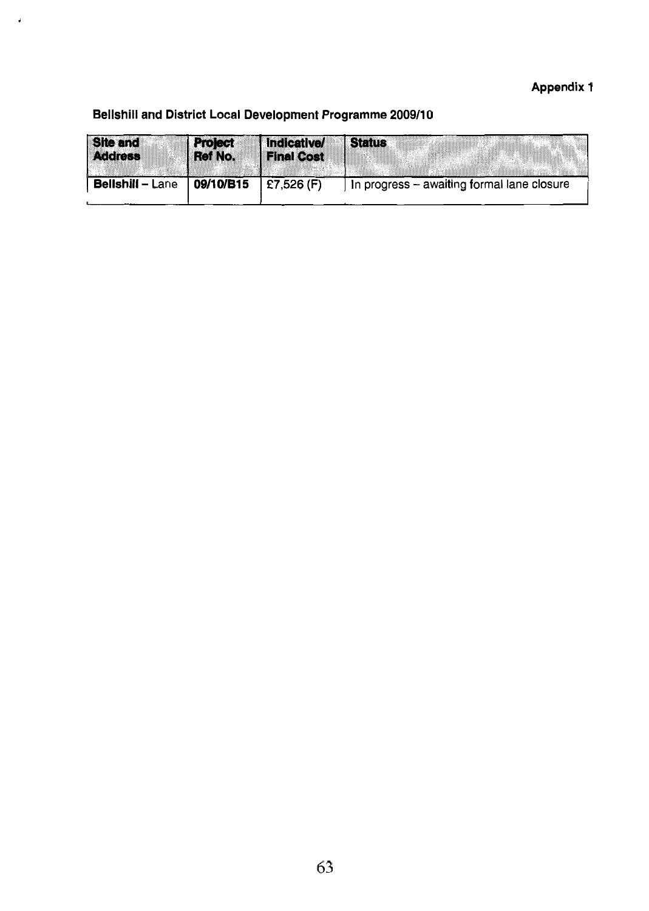## **Appendix 1**

## **Bellshill and District Local Development Programme 2009/10**

**J** 

| <b>Site and</b>         | <b>Project</b> | Indicative/       | <b>Status</b>                              |
|-------------------------|----------------|-------------------|--------------------------------------------|
| <b>Address</b>          | Ref No.        | <b>Final Cost</b> |                                            |
| <b>Bellshill - Lane</b> | 09/10/B15      | £7,526 $(F)$      | In progress - awaiting formal lane closure |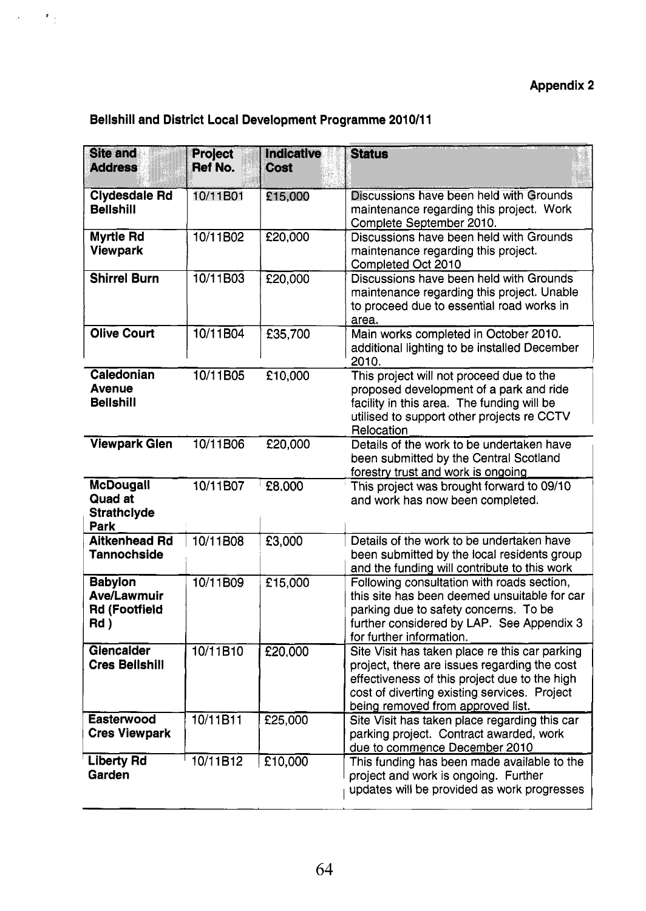## **Appendix 2**

## **Bellshill and District Local Development Programme 2010/11**

 $\label{eq:2} \mathcal{A}^{\text{max}}_{\text{max}} = \mathcal{A}^{\text{max}}_{\text{max}}$ 

| <b>Site and</b><br><b>Address</b>                                    | <b>Project</b><br><b>Ref No.</b> | Indicative<br>Cost | <b>Status</b>                                                                                                                                                                                                                        |
|----------------------------------------------------------------------|----------------------------------|--------------------|--------------------------------------------------------------------------------------------------------------------------------------------------------------------------------------------------------------------------------------|
| <b>Clydesdale Rd</b><br><b>Bellshill</b>                             | 10/11B01                         | £15,000            | Discussions have been held with Grounds<br>maintenance regarding this project. Work<br>Complete September 2010.                                                                                                                      |
| Myrtle Rd<br><b>Viewpark</b>                                         | 10/11B02                         | £20,000            | Discussions have been held with Grounds<br>maintenance regarding this project.<br>Completed Oct 2010                                                                                                                                 |
| <b>Shirrel Burn</b>                                                  | 10/11B03                         | E20,000            | Discussions have been held with Grounds<br>maintenance regarding this project. Unable<br>to proceed due to essential road works in<br>area.                                                                                          |
| <b>Olive Court</b>                                                   | 10/11B04                         | £35,700            | Main works completed in October 2010.<br>additional lighting to be installed December<br>2010.                                                                                                                                       |
| Caledonian<br><b>Avenue</b><br><b>Bellshill</b>                      | 10/11B05                         | £10,000            | This project will not proceed due to the<br>proposed development of a park and ride<br>facility in this area. The funding will be<br>utilised to support other projects re CCTV<br>Relocation                                        |
| <b>Viewpark Glen</b>                                                 | 10/11B06                         | £20,000            | Details of the work to be undertaken have<br>been submitted by the Central Scotland<br>forestry trust and work is ongoing                                                                                                            |
| <b>McDougall</b><br><b>Quad at</b><br><b>Strathclyde</b><br>Park     | 10/11B07                         | £8,000             | This project was brought forward to 09/10<br>and work has now been completed.                                                                                                                                                        |
| <b>Aitkenhead Rd</b><br><b>Tannochside</b>                           | 10/11B08                         | £3,000             | Details of the work to be undertaken have<br>been submitted by the local residents group<br>and the funding will contribute to this work                                                                                             |
| <b>Babylon</b><br><b>Ave/Lawmuir</b><br><b>Rd (Footfield</b><br>Rd ) | 10/11B09                         | £15,000            | Following consultation with roads section,<br>this site has been deemed unsuitable for car<br>parking due to safety concerns. To be<br>further considered by LAP. See Appendix 3<br>for further information.                         |
| Glencalder<br><b>Cres Bellshill</b>                                  | 10/11B10                         | £20,000            | Site Visit has taken place re this car parking<br>project, there are issues regarding the cost<br>effectiveness of this project due to the high<br>cost of diverting existing services. Project<br>being removed from approved list. |
| <b>Easterwood</b><br><b>Cres Viewpark</b>                            | 10/11B11                         | £25,000            | Site Visit has taken place regarding this car<br>parking project. Contract awarded, work<br>due to commence December 2010                                                                                                            |
| <b>Liberty Rd</b><br>Garden                                          | 10/11B12                         | £10,000            | This funding has been made available to the<br>project and work is ongoing. Further<br>updates will be provided as work progresses                                                                                                   |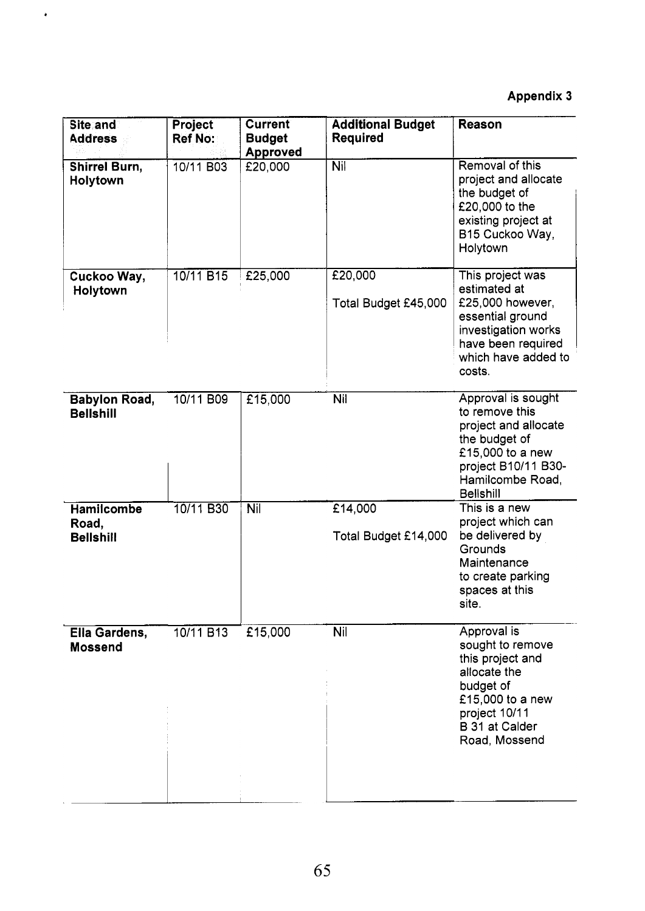# **Appendix 3**

| Site and<br><b>Address</b>               | Project<br><b>Ref No:</b> | <b>Current</b><br><b>Budget</b><br><b>Approved</b> | <b>Additional Budget</b><br><b>Required</b> | <b>Reason</b>                                                                                                                                                    |
|------------------------------------------|---------------------------|----------------------------------------------------|---------------------------------------------|------------------------------------------------------------------------------------------------------------------------------------------------------------------|
| <b>Shirrel Burn,</b><br>Holytown         | 10/11 B03                 | E20,000                                            | Nil                                         | Removal of this<br>project and allocate<br>the budget of<br>£20,000 to the<br>existing project at<br>B15 Cuckoo Way,<br>Holytown                                 |
| Cuckoo Way,<br>Holytown                  | 10/11 B15                 | £25,000                                            | £20,000<br>Total Budget £45,000             | This project was<br>estimated at<br>£25,000 however,<br>essential ground<br>investigation works<br>have been required<br>which have added to<br>costs.           |
| <b>Babylon Road,</b><br><b>Bellshill</b> | 10/11 B09                 | £15,000                                            | Nil                                         | Approval is sought<br>to remove this<br>project and allocate<br>the budget of<br>£15,000 to a new<br>project B10/11 B30-<br>Hamilcombe Road,<br><b>Bellshill</b> |
| Hamilcombe<br>Road,<br><b>Bellshill</b>  | 10/11 B30                 | <b>Nil</b>                                         | £14,000<br>Total Budget £14,000             | This is a new<br>project which can<br>be delivered by<br>Grounds<br>Maintenance<br>to create parking<br>spaces at this<br>site.                                  |
| Ella Gardens,<br><b>Mossend</b>          | 10/11 B13                 | £15,000                                            | Nil                                         | Approval is<br>sought to remove<br>this project and<br>allocate the<br>budget of<br>£15,000 to a new<br>project 10/11<br>B 31 at Calder<br>Road, Mossend         |

 $\epsilon$